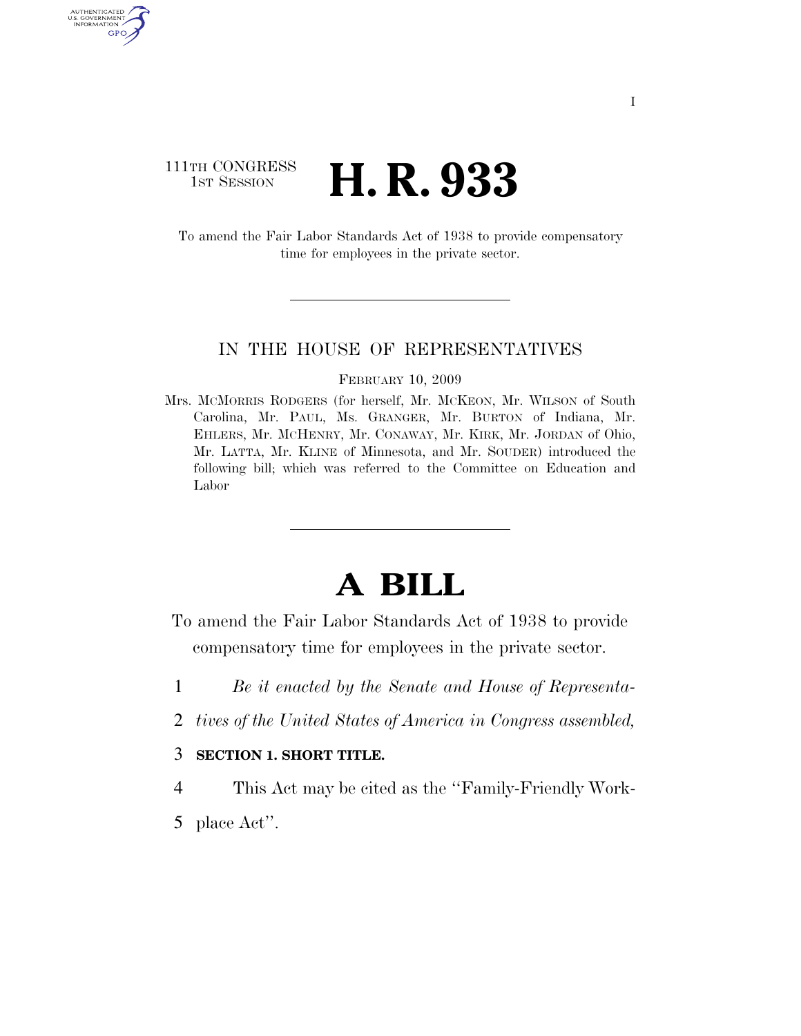# 111TH CONGRESS **1st Session H. R. 933**

AUTHENTICATED U.S. GOVERNMENT GPO

> To amend the Fair Labor Standards Act of 1938 to provide compensatory time for employees in the private sector.

### IN THE HOUSE OF REPRESENTATIVES

#### FEBRUARY 10, 2009

Mrs. MCMORRIS RODGERS (for herself, Mr. MCKEON, Mr. WILSON of South Carolina, Mr. PAUL, Ms. GRANGER, Mr. BURTON of Indiana, Mr. EHLERS, Mr. MCHENRY, Mr. CONAWAY, Mr. KIRK, Mr. JORDAN of Ohio, Mr. LATTA, Mr. KLINE of Minnesota, and Mr. SOUDER) introduced the following bill; which was referred to the Committee on Education and Labor

# **A BILL**

To amend the Fair Labor Standards Act of 1938 to provide compensatory time for employees in the private sector.

- 1 *Be it enacted by the Senate and House of Representa-*
- 2 *tives of the United States of America in Congress assembled,*

## 3 **SECTION 1. SHORT TITLE.**

4 This Act may be cited as the ''Family-Friendly Work-

5 place Act''.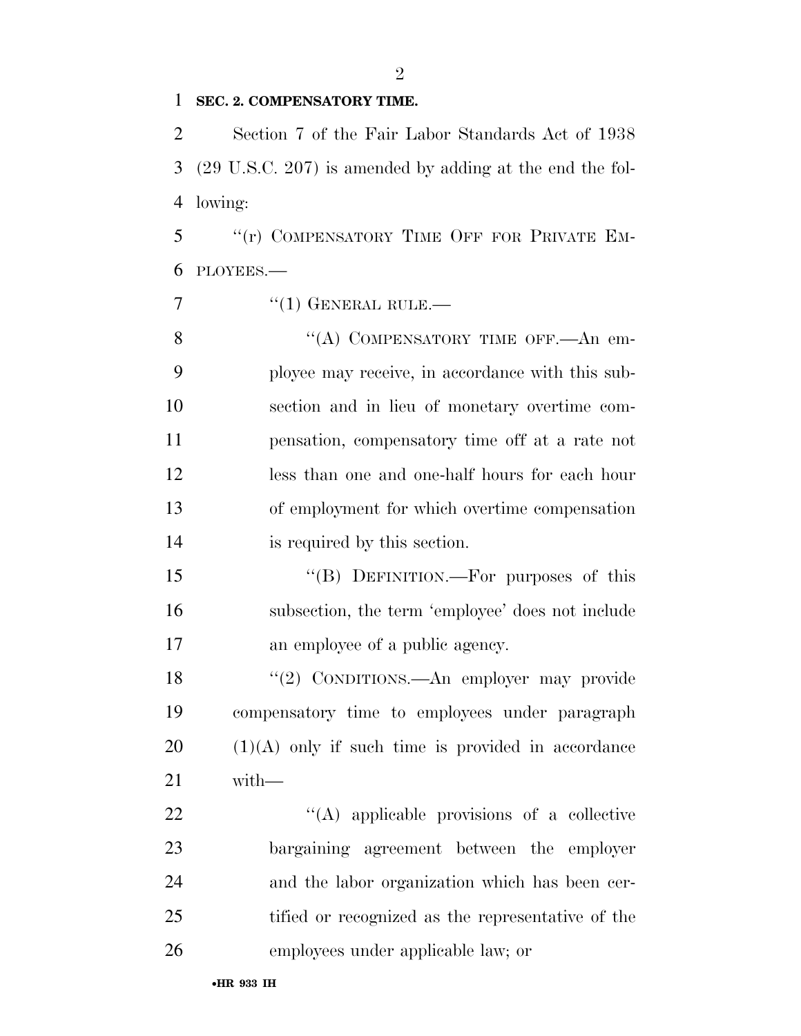### **SEC. 2. COMPENSATORY TIME.**

 Section 7 of the Fair Labor Standards Act of 1938 (29 U.S.C. 207) is amended by adding at the end the fol-lowing:

 ''(r) COMPENSATORY TIME OFF FOR PRIVATE EM-PLOYEES.—

 $\frac{1}{(1)}$  GENERAL RULE.—

8 "(A) COMPENSATORY TIME OFF.—An em- ployee may receive, in accordance with this sub- section and in lieu of monetary overtime com- pensation, compensatory time off at a rate not less than one and one-half hours for each hour of employment for which overtime compensation is required by this section.

 ''(B) DEFINITION.—For purposes of this subsection, the term 'employee' does not include an employee of a public agency.

 ''(2) CONDITIONS.—An employer may provide compensatory time to employees under paragraph (1)(A) only if such time is provided in accordance with—

 ''(A) applicable provisions of a collective bargaining agreement between the employer and the labor organization which has been cer- tified or recognized as the representative of the employees under applicable law; or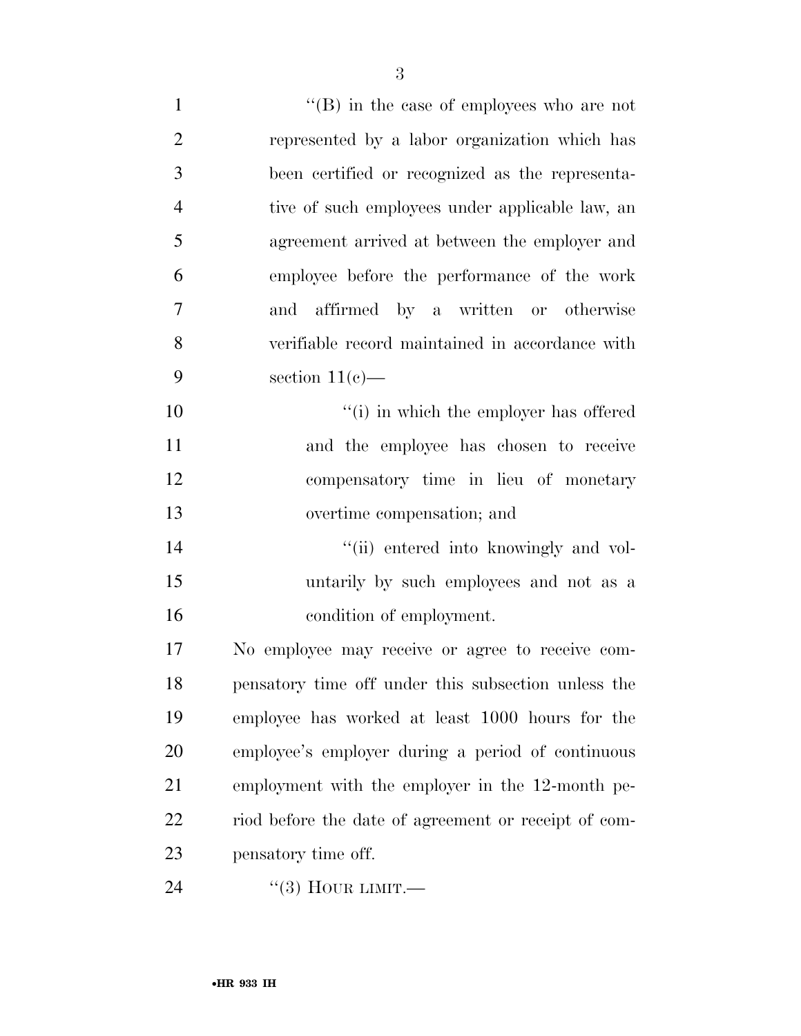| $\mathbf{1}$   | $\lq\lq$ (B) in the case of employees who are not    |
|----------------|------------------------------------------------------|
| $\overline{2}$ | represented by a labor organization which has        |
| 3              | been certified or recognized as the representa-      |
| $\overline{4}$ | tive of such employees under applicable law, an      |
| 5              | agreement arrived at between the employer and        |
| 6              | employee before the performance of the work          |
| $\overline{7}$ | and affirmed by a written or otherwise               |
| 8              | verifiable record maintained in accordance with      |
| 9              | section $11(e)$ —                                    |
| 10             | "(i) in which the employer has offered               |
| 11             | and the employee has chosen to receive               |
| 12             | compensatory time in lieu of monetary                |
| 13             | overtime compensation; and                           |
| 14             | "(ii) entered into knowingly and vol-                |
| 15             | untarily by such employees and not as a              |
| 16             | condition of employment.                             |
| 17             | No employee may receive or agree to receive com-     |
| 18             | pensatory time off under this subsection unless the  |
| 19             | employee has worked at least 1000 hours for the      |
| 20             | employee's employer during a period of continuous    |
| 21             | employment with the employer in the 12-month pe-     |
| 22             | riod before the date of agreement or receipt of com- |
| 23             | pensatory time off.                                  |
| 24             | $\lq(3)$ HOUR LIMIT.—                                |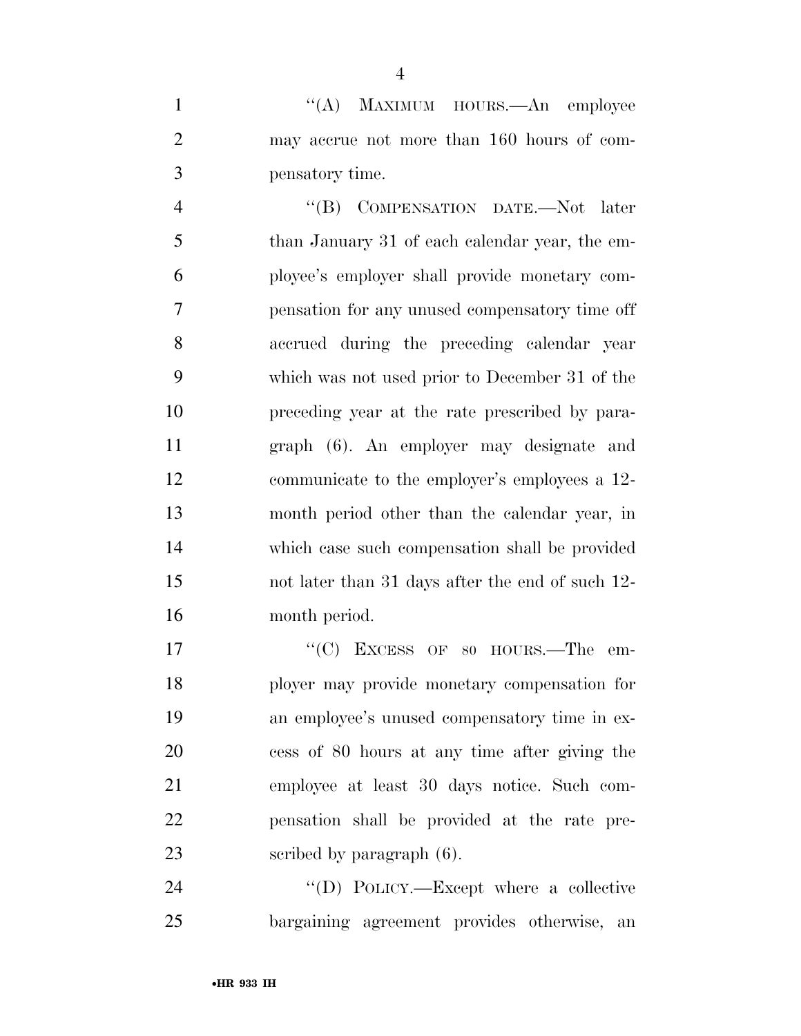1 ''(A) MAXIMUM HOURS.—An employee may accrue not more than 160 hours of com-pensatory time.

 ''(B) COMPENSATION DATE.—Not later than January 31 of each calendar year, the em- ployee's employer shall provide monetary com- pensation for any unused compensatory time off accrued during the preceding calendar year which was not used prior to December 31 of the preceding year at the rate prescribed by para- graph (6). An employer may designate and communicate to the employer's employees a 12- month period other than the calendar year, in which case such compensation shall be provided not later than 31 days after the end of such 12- month period.

17 "'(C) EXCESS OF 80 HOURS.—The em- ployer may provide monetary compensation for an employee's unused compensatory time in ex- cess of 80 hours at any time after giving the employee at least 30 days notice. Such com- pensation shall be provided at the rate pre-23 scribed by paragraph  $(6)$ .

24  $\text{``(D) POLICY.—Except where a collective}$ bargaining agreement provides otherwise, an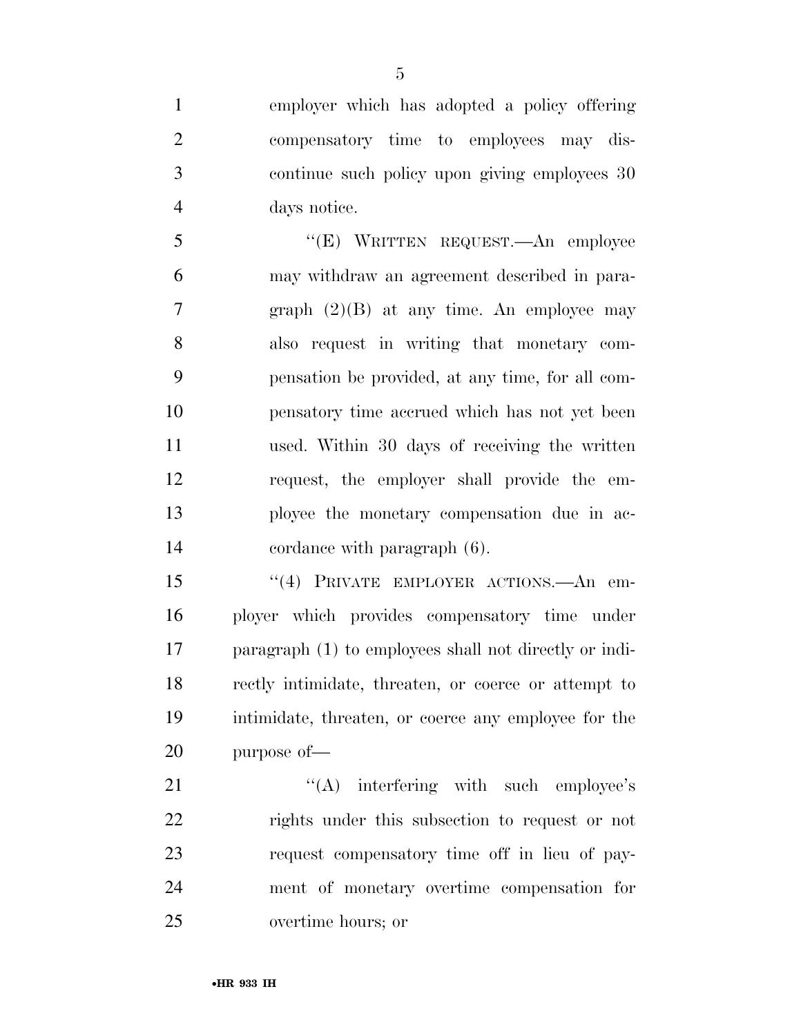employer which has adopted a policy offering compensatory time to employees may dis- continue such policy upon giving employees 30 days notice.

 ''(E) WRITTEN REQUEST.—An employee may withdraw an agreement described in para- graph (2)(B) at any time. An employee may also request in writing that monetary com- pensation be provided, at any time, for all com- pensatory time accrued which has not yet been used. Within 30 days of receiving the written request, the employer shall provide the em- ployee the monetary compensation due in ac-cordance with paragraph (6).

 ''(4) PRIVATE EMPLOYER ACTIONS.—An em- ployer which provides compensatory time under paragraph (1) to employees shall not directly or indi- rectly intimidate, threaten, or coerce or attempt to intimidate, threaten, or coerce any employee for the purpose of—

21 "'(A) interfering with such employee's rights under this subsection to request or not request compensatory time off in lieu of pay- ment of monetary overtime compensation for overtime hours; or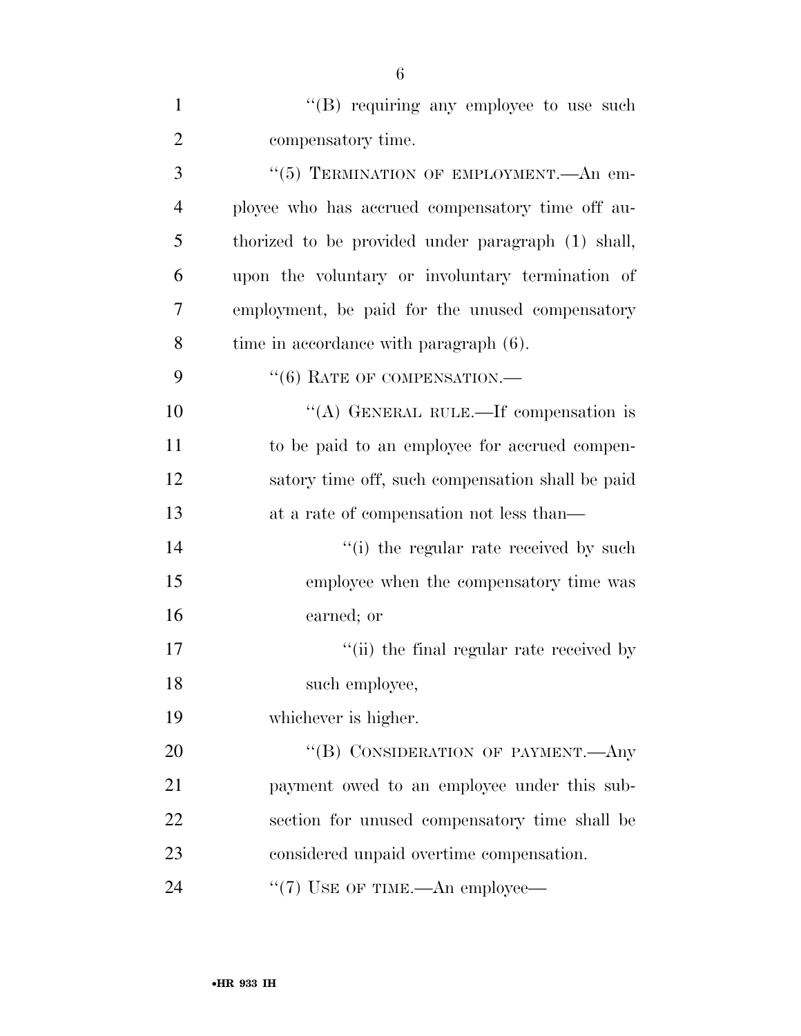| $\mathbf{1}$   | "(B) requiring any employee to use such            |
|----------------|----------------------------------------------------|
| $\overline{2}$ | compensatory time.                                 |
| 3              | "(5) TERMINATION OF EMPLOYMENT.—An em-             |
| $\overline{4}$ | ployee who has accrued compensatory time off au-   |
| 5              | thorized to be provided under paragraph (1) shall, |
| 6              | upon the voluntary or involuntary termination of   |
| 7              | employment, be paid for the unused compensatory    |
| 8              | time in accordance with paragraph (6).             |
| 9              | $``(6)$ RATE OF COMPENSATION.—                     |
| 10             | "(A) GENERAL RULE.—If compensation is              |
| 11             | to be paid to an employee for accrued compen-      |
| 12             | satory time off, such compensation shall be paid   |
| 13             | at a rate of compensation not less than—           |
| 14             | "(i) the regular rate received by such             |
| 15             | employee when the compensatory time was            |
| 16             | earned; or                                         |
| 17             | "(ii) the final regular rate received by           |
| 18             | such employee,                                     |
| 19             | whichever is higher.                               |
| 20             | "(B) CONSIDERATION OF PAYMENT.—Any                 |
| 21             | payment owed to an employee under this sub-        |
| 22             | section for unused compensatory time shall be      |
| 23             | considered unpaid overtime compensation.           |
| 24             | "(7) USE OF TIME.—An employee—                     |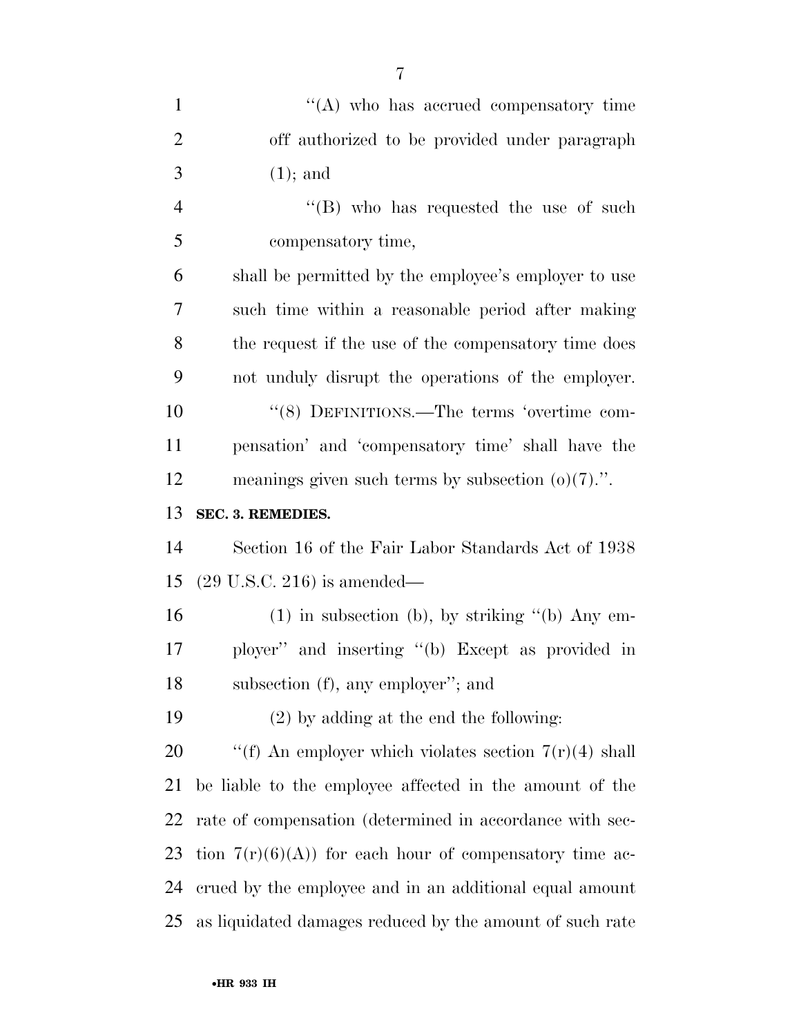| $\mathbf{1}$   | $\lq\lq$ who has accrued compensatory time               |
|----------------|----------------------------------------------------------|
| $\overline{2}$ | off authorized to be provided under paragraph            |
| 3              | $(1)$ ; and                                              |
| $\overline{4}$ | "(B) who has requested the use of such                   |
| 5              | compensatory time,                                       |
| 6              | shall be permitted by the employee's employer to use     |
| 7              | such time within a reasonable period after making        |
| 8              | the request if the use of the compensatory time does     |
| 9              | not unduly disrupt the operations of the employer.       |
| 10             | "(8) DEFINITIONS.—The terms 'overtime com-               |
| 11             | pensation' and 'compensatory time' shall have the        |
| 12             | meanings given such terms by subsection $(o)(7)$ .".     |
| 13             | SEC. 3. REMEDIES.                                        |
| 14             | Section 16 of the Fair Labor Standards Act of 1938       |
| 15             | $(29 \text{ U.S.C. } 216)$ is amended—                   |
| 16             | $(1)$ in subsection (b), by striking "(b) Any em-        |
| 17             | ployer" and inserting "(b) Except as provided in         |
| 18             | subsection (f), any employer"; and                       |
| 19             | $(2)$ by adding at the end the following:                |
| 20             | "(f) An employer which violates section $7(r)(4)$ shall  |
| 21             | be liable to the employee affected in the amount of the  |
| 22             | rate of compensation (determined in accordance with sec- |
| 23             | tion $7(r)(6)(A)$ for each hour of compensatory time ac- |
| 24             | crued by the employee and in an additional equal amount  |
| 25             | as liquidated damages reduced by the amount of such rate |

•**HR 933 IH**